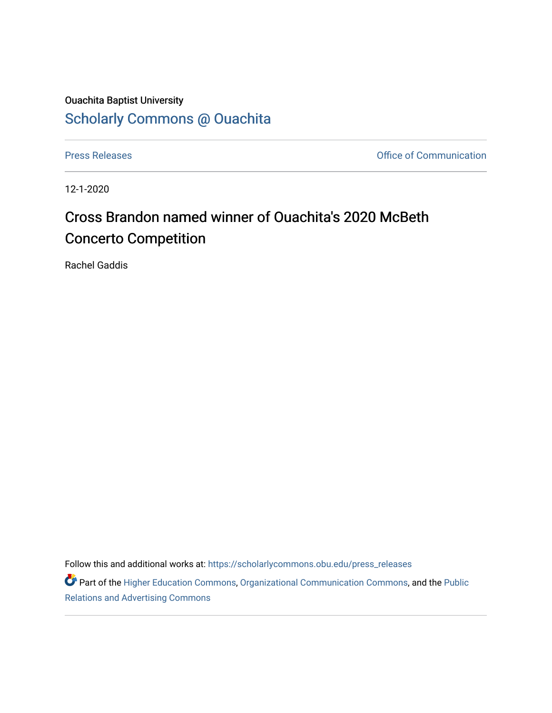## Ouachita Baptist University [Scholarly Commons @ Ouachita](https://scholarlycommons.obu.edu/)

[Press Releases](https://scholarlycommons.obu.edu/press_releases) **Press Releases Communication** 

12-1-2020

## Cross Brandon named winner of Ouachita's 2020 McBeth Concerto Competition

Rachel Gaddis

Follow this and additional works at: [https://scholarlycommons.obu.edu/press\\_releases](https://scholarlycommons.obu.edu/press_releases?utm_source=scholarlycommons.obu.edu%2Fpress_releases%2F735&utm_medium=PDF&utm_campaign=PDFCoverPages)

Part of the [Higher Education Commons,](http://network.bepress.com/hgg/discipline/1245?utm_source=scholarlycommons.obu.edu%2Fpress_releases%2F735&utm_medium=PDF&utm_campaign=PDFCoverPages) [Organizational Communication Commons,](http://network.bepress.com/hgg/discipline/335?utm_source=scholarlycommons.obu.edu%2Fpress_releases%2F735&utm_medium=PDF&utm_campaign=PDFCoverPages) and the [Public](http://network.bepress.com/hgg/discipline/336?utm_source=scholarlycommons.obu.edu%2Fpress_releases%2F735&utm_medium=PDF&utm_campaign=PDFCoverPages) [Relations and Advertising Commons](http://network.bepress.com/hgg/discipline/336?utm_source=scholarlycommons.obu.edu%2Fpress_releases%2F735&utm_medium=PDF&utm_campaign=PDFCoverPages)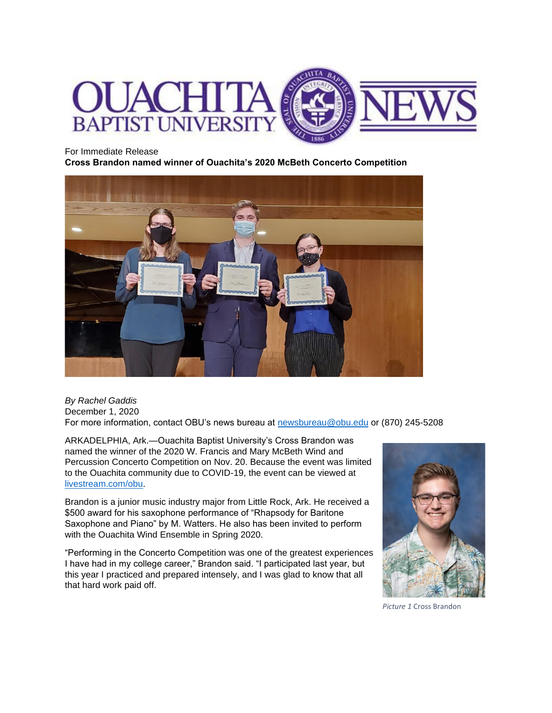

## For Immediate Release

**Cross Brandon named winner of Ouachita's 2020 McBeth Concerto Competition** 



*By Rachel Gaddis* December 1, 2020 For more information, contact OBU's news bureau at [newsbureau@obu.edu](mailto:newsbureau@obu.edu) or (870) 245-5208

ARKADELPHIA, Ark.—Ouachita Baptist University's Cross Brandon was named the winner of the 2020 W. Francis and Mary McBeth Wind and Percussion Concerto Competition on Nov. 20. Because the event was limited to the Ouachita community due to COVID-19, the event can be viewed at [livestream.com/obu.](https://livestream.com/obu)

Brandon is a junior music industry major from Little Rock, Ark. He received a \$500 award for his saxophone performance of "Rhapsody for Baritone Saxophone and Piano" by M. Watters. He also has been invited to perform with the Ouachita Wind Ensemble in Spring 2020.

"Performing in the Concerto Competition was one of the greatest experiences I have had in my college career," Brandon said. "I participated last year, but this year I practiced and prepared intensely, and I was glad to know that all that hard work paid off.



*Picture 1* Cross Brandon